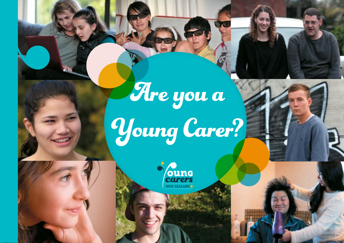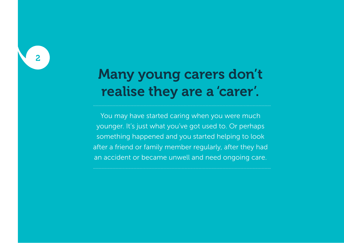# Many young carers don't realise they are a 'carer'.

You may have started caring when you were much younger. It's just what you've got used to. Or perhaps something happened and you started helping to look after a friend or family member regularly, after they had an accident or became unwell and need ongoing care.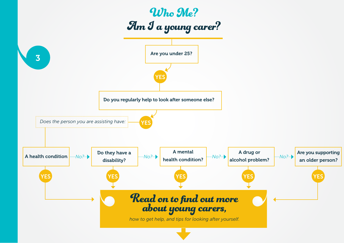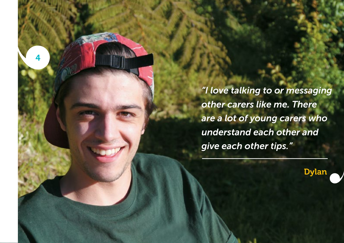*"I love talking to or messaging other carers like me. There are a lot of young carers who understand each other and give each other tips."*

4

Dylan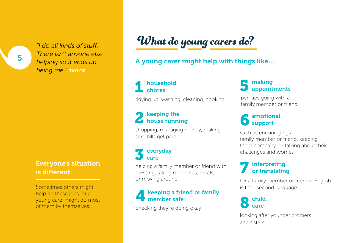*"I do all kinds of stuff. There isn't anyone else helping so it ends up being me."* taylor

## Everyone's situation is different.

Sometimes others might help do these jobs, or a young carer might do most of them by themselves.

# What do young carers do?

## A young carer might help with things like…

### household chores 1

tidying up, washing, cleaning, cooking

#### keeping the house running 2

shopping, managing money, making sure bills get paid

#### everyday care 3

helping a family member or friend with dressing, taking medicines, meals, or moving around

### keeping a friend or family member safe 4

checking they're doing okay

#### making appointments 5

perhaps going with a family member or friend

#### emotional support 6

such as encouraging a family member or friend, keeping them company, or talking about their challenges and worries

### interpreting or translating 7

for a family member or friend if English is their second language

child care 8

looking after younger brothers and sisters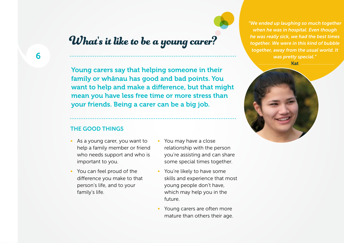# What's it like to be a young carer?

Young carers say that helping someone in their family or whānau has good and bad points. You want to help and make a difference, but that might mean you have less free time or more stress than your friends. Being a carer can be a big job.

### THE GOOD THINGS

- As a young carer, you want to help a family member or friend who needs support and who is important to you.
- You can feel proud of the difference you make to that person's life, and to your family's life.
- You may have a close relationship with the person you're assisting and can share some special times together.
- You're likely to have some skills and experience that most young people don't have, which may help you in the future.
- Young carers are often more mature than others their age.

*"We ended up laughing so much together when he was in hospital. Even though he was really sick, we had the best times together. We were in this kind of bubble together, away from the usual world. It was pretty special."*

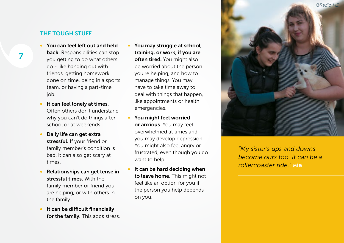### THE TOUGH STUFF

- You can feel left out and held back. Responsibilities can stop you getting to do what others do - like hanging out with friends, getting homework done on time, being in a sports team, or having a part-time job.
- It can feel lonely at times. Often others don't understand why you can't do things after school or at weekends.
- Daily life can get extra stressful. If your friend or family member's condition is bad, it can also get scary at times.
- Relationships can get tense in stressful times. With the family member or friend you are helping, or with others in the family.
- It can be difficult financially for the family. This adds stress.
- You may struggle at school, training, or work, if you are often tired. You might also be worried about the person you're helping, and how to manage things. You may have to take time away to deal with things that happen, like appointments or health emergencies.
- You might feel worried or anxious. You may feel overwhelmed at times and you may develop depression. You might also feel angry or frustrated, even though you do want to help.
- It can be hard deciding when to leave home. This might not feel like an option for you if the person you help depends on you.



*"My sister's ups and downs become ours too. It can be a rollercoaster ride."* mia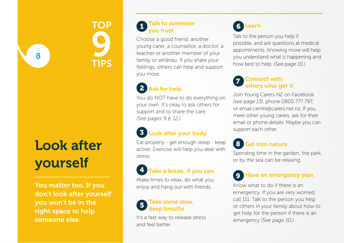

# Look after yourself

8

You matter too. If you don't look after yourself you won't be in the right space to help someone else.

### Talk to someone you trust

Choose a good friend, another young carer, a counsellor, a doctor, a teacher or another member of your family or whānau. If you share your feelings, others can help and support you more.



You do NOT have to do everything on your own. It's okay to ask others for support and to share the care. *(See pages 9 & 12.)*

# Look after your body

Eat properly - get enough sleep - keep active. Exercise will help you deal with stress.

# Take a break, if you can

Make times to relax, do what you enjoy and hang out with friends.



It's a fast way to release stress and feel better.

## **Learn**

Talk to the person you help if possible, and ask questions at medical appointments. Knowing more will help you understand what is happening and how best to help. *(See page 10.)*

### Connect with others who 'get it'

Join Young Carers NZ on Facebook *(see page 13)*, phone 0800 777 797, or email centre@carers.net.nz. If you meet other young carers, ask for their email or phone details. Maybe you can support each other.

## 8 Get into nature

Spending time in the garden, the park, or by the sea can be relaxing.

# Have an emergency plan

Know what to do if there is an emergency. If you are very worried, call 111. Talk to the person you help or others in your family about how to get help for the person if there is an emergency *(See page 10.)*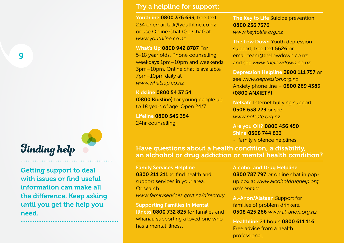9

# Finding help

Getting support to deal with issues or find useful information can make all the difference. Keep asking until you get the help you need.

### Try a helpline for support:

Youthline 0800 376 633, free text 234 or email talk@youthline.co.nz or use Online Chat (Go Chat) at *www.youthline.co.nz* 

### What's Up 0800 942 8787 For

5-18 year olds. Phone counselling weekdays 1pm–10pm and weekends 3pm–10pm. Online chat is available 7pm–10pm daily at *www.whatsup.co.nz*

Kidsline 0800 54 37 54 (0800 Kidsline) for young people up to 18 years of age. Open 24/7.

Lifeline 0800 543 354 24hr counselling.

The Key to Life Suicide prevention 0800 256 7376 *www.keytolife.org.nz*

The Low Down Youth depression support, free text 5626 or email team@thelowdown.co.nz and see *www.thelowdown.co.nz* 

Depression Helpline 0800 111 757 or see *www.depression.org.nz*  Anxiety phone line – 0800 269 4389 (0800 ANXIETY)

Netsafe Internet bullying support 0508 638 723 or see *www.netsafe.org.nz*

Are you OK? 0800 456 450 Shine 0508 744 633

- family violence helplines.

Have questions about a health condition, a disability, an alchohol or drug addiction or mental health condition?

Family Services Helpline 0800 211 211 to find health and support services in your area. Or search *www.familyservices.govt.nz/directory*

Supporting Families In Mental Illness 0800 732 825 for families and whānau supporting a loved one who has a mental illness.

Alcohol and Drug Helpline 0800 787 797 or online chat in popup box at *www.alcoholdrughelp.org. nz/contact*

Al-Anon/Alateen Support for families of problem drinkers. 0508 425 266 *www.al-anon.org.nz*

Healthline 24 hours 0800 611 116 Free advice from a health professional.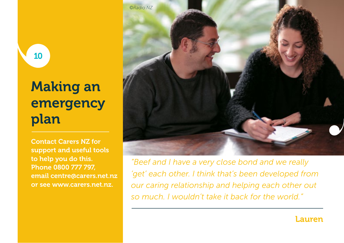# Making an emergency plan

10 10

Contact Carers NZ for support and useful tools to help you do this. Phone 0800 777 797, email centre@carers.net.nz or see www.carers.net.nz.



*"Beef and I have a very close bond and we really 'get' each other. I think that's been developed from our caring relationship and helping each other out so much. I wouldn't take it back for the world."*

## Lauren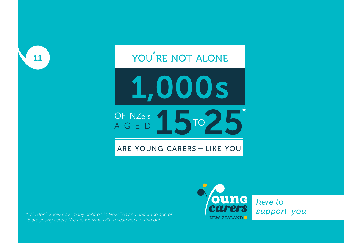# 11 YOU<sup>'</sup>RE NOT ALONE



## are young carers – like you

*\* We don't know how many children in New Zealand under the age of support you 15 are young carers. We are working with researchers to find out!*



*here to*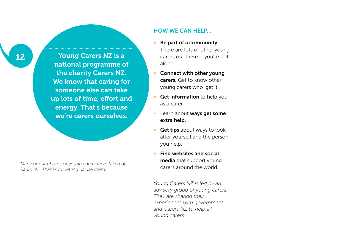Young Carers NZ is a national programme of the charity Carers NZ. We know that caring for someone else can take up lots of time, effort and energy. That's because we're carers ourselves.

*Many of our photos of young carers were taken by Radio NZ. Thanks for letting us use them!*

### HOW WE CAN HELP...

- Be part of a community. There are lots of other young carers out there – you're not alone.
- Connect with other young carers. Get to know other young carers who 'get it'.
- Get information to help you as a carer.
- Learn about ways get some extra help.
- Get tips about ways to look after yourself and the person you help.
- Find websites and social media that support young carers around the world.

*Young Carers NZ is led by an advisory group of young carers. They are sharing their experiences with government and Carers NZ to help all young carers.*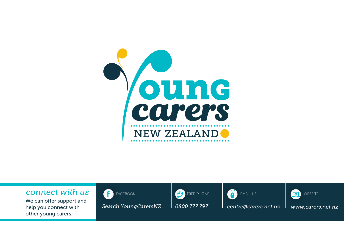

## *connect with us*

We can offer support and help you connect with other young carers.



*Search [YoungCarersNZ](https://www.facebook.com/youngcarersnz) 0800 777 797 centre@carers.net.nz www.carers.net.nz*





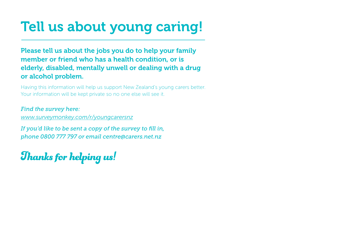# Tell us about young caring!

Please tell us about the jobs you do to help your family member or friend who has a health condition, or is elderly, disabled, mentally unwell or dealing with a drug or alcohol problem.

Having this information will help us support New Zealand's young carers better. Your information will be kept private so no one else will see it.

*Find the survey here: www.surveymonkey.com/r/youngcarersnz*

*If you'd like to be sent a copy of the survey to fill in, phone 0800 777 797 or email centre@carers.net.nz*

Thanks for helping us!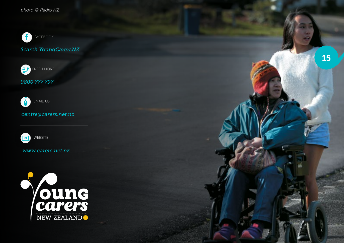

**F** FACEBOOK<br>**Search [YoungCarersNZ](https://www.facebook.com/youngcarersnz)** 



*0800 777 797*



### *centre@carers.net.nz*



#### *www.carers.net.nz*